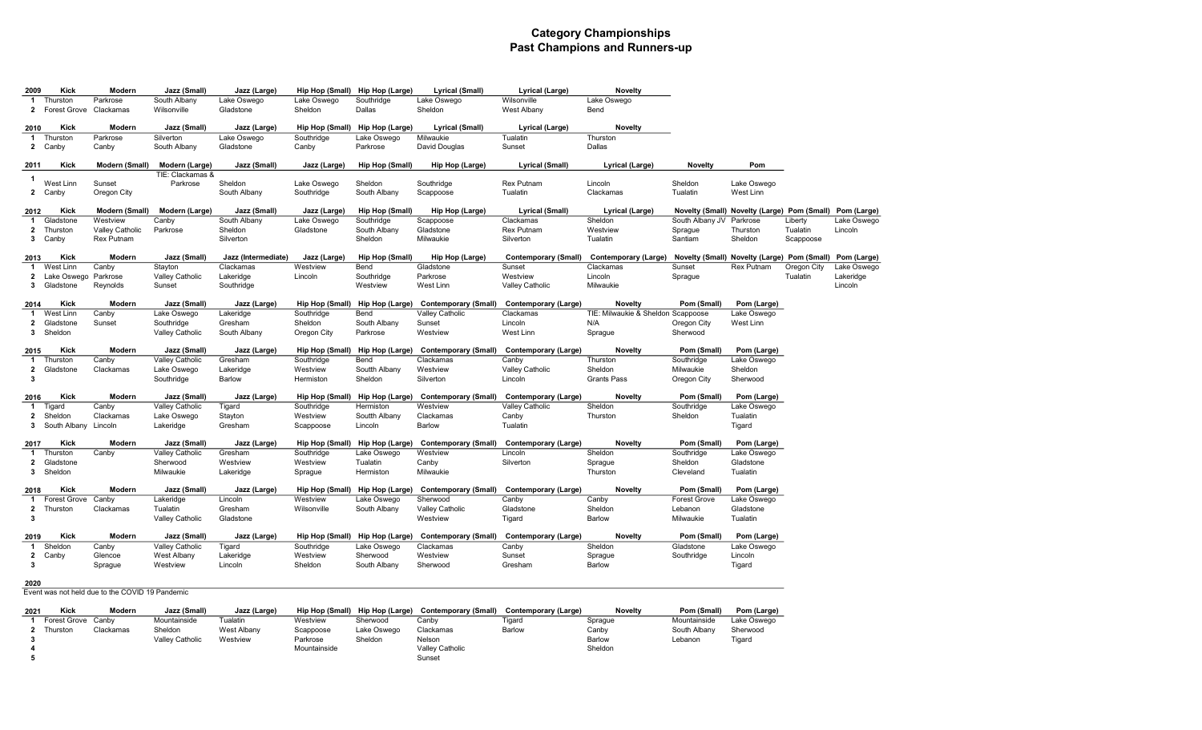### Category Championships Past Champions and Runners-up

| 2009<br>-1                   | Kick<br>Thurston                    | Modern<br>Parkrose                              | Jazz (Small)<br>South Albany | Jazz (Large)<br>Lake Oswego | Hip Hop (Small)<br>Lake Oswego | Hip Hop (Large)<br>Southridge               | Lyrical (Small)<br>Lake Oswego       | Lyrical (Large)<br>Wilsonville                                            | Novelty<br>Lake Oswego                                                                |                                |                                                         |             |             |
|------------------------------|-------------------------------------|-------------------------------------------------|------------------------------|-----------------------------|--------------------------------|---------------------------------------------|--------------------------------------|---------------------------------------------------------------------------|---------------------------------------------------------------------------------------|--------------------------------|---------------------------------------------------------|-------------|-------------|
|                              | 2 Forest Grove Clackamas            |                                                 | Wilsonville                  | Gladstone                   | Sheldon                        | Dallas                                      | Sheldon                              | West Albany                                                               | Bend                                                                                  |                                |                                                         |             |             |
| 2010                         | Kick                                | Modern                                          | Jazz (Small)                 | Jazz (Large)                |                                | Hip Hop (Small) Hip Hop (Large)             | Lyrical (Small)                      | Lyrical (Large)                                                           | <b>Novelty</b>                                                                        |                                |                                                         |             |             |
| $\mathbf{1}$                 | Thurston<br>2 Canby                 | Parkrose<br>Canby                               | Silverton<br>South Albany    | Lake Oswego<br>Gladstone    | Southridge<br>Canby            | Lake Oswego<br>Parkrose                     | Milwaukie<br>David Douglas           | Tualatin<br>Sunset                                                        | Thurston<br>Dallas                                                                    |                                |                                                         |             |             |
| 2011                         | Kick                                | Modern (Small)                                  | Modern (Large)               | Jazz (Small)                | Jazz (Large)                   | Hip Hop (Small)                             | Hip Hop (Large)                      | <b>Lyrical (Small)</b>                                                    | Lyrical (Large)                                                                       | <b>Novelty</b>                 | Pom                                                     |             |             |
| $\mathbf{1}$                 | West Linn                           | Sunset                                          | TIE: Clackamas &<br>Parkrose | Sheldon                     | Lake Oswego                    | Sheldon                                     | Southridge                           | <b>Rex Putnam</b>                                                         | Lincoln                                                                               | Sheldon                        | Lake Oswego                                             |             |             |
|                              | 2 Canby                             | Oregon City                                     |                              | South Albany                | Southridge                     | South Albany                                | Scappoose                            | Tualatin                                                                  | Clackamas                                                                             | Tualatin                       | West Linn                                               |             |             |
| 2012                         | Kick                                | Modern (Small)                                  | Modern (Large)               | Jazz (Small)                | Jazz (Large)                   | Hip Hop (Small)                             | Hip Hop (Large)                      | <b>Lyrical (Small)</b>                                                    | Lyrical (Large)                                                                       |                                | Novelty (Small) Novelty (Large) Pom (Small) Pom (Large) |             |             |
| $\mathbf{1}$                 | Gladstone                           | Westview                                        | Canby                        | South Albany                | Lake Oswego                    | Southridge                                  | Scappoose                            | Clackamas                                                                 | Sheldon                                                                               | South Albany JV                | Parkrose                                                | Liberty     | Lake Oswego |
| $\mathbf{2}$                 | Thurston                            | Valley Catholic                                 | Parkrose                     | Sheldon                     | Gladstone                      | South Albany                                | Gladstone                            | <b>Rex Putnam</b>                                                         | Westview                                                                              | Sprague                        | Thurston                                                | Tualatin    | Lincoln     |
| $3^{\circ}$                  | Canby                               | Rex Putnam                                      |                              | Silverton                   |                                | Sheldon                                     | Milwaukie                            | Silverton                                                                 | Tualatin                                                                              | Santiam                        | Sheldon                                                 | Scappoose   |             |
| 2013                         | Kick                                | Modern                                          | Jazz (Small)                 | Jazz (Intermediate)         | Jazz (Large)                   | Hip Hop (Small)                             | Hip Hop (Large)                      |                                                                           | Contemporary (Small) Contemporary (Large) Novelty (Small) Novelty (Large) Pom (Small) |                                |                                                         |             | Pom (Large) |
| $\mathbf{1}$                 | West Linn                           | Canby                                           | Stavton                      | Clackamas                   | Westview                       | Bend                                        | Gladstone                            | Sunset                                                                    | Clackamas                                                                             | Sunset                         | Rex Putnam                                              | Oregon City | Lake Oswego |
|                              | 2 Lake Oswego                       | Parkrose                                        | Valley Catholic              | Lakeridge                   | Lincoln                        | Southridge                                  | Parkrose                             | Westview                                                                  | Lincoln                                                                               | Sprague                        |                                                         | Tualatin    | Lakeridge   |
| $3^{\circ}$                  | Gladstone                           | Reynolds                                        | Sunset                       | Southridge                  |                                | Westview                                    | West Linn                            | Valley Catholic                                                           | Milwaukie                                                                             |                                |                                                         |             | Lincoln     |
| 2014                         | Kick                                | Modern                                          | Jazz (Small)                 | Jazz (Large)                |                                |                                             |                                      | Hip Hop (Small) Hip Hop (Large) Contemporary (Small) Contemporary (Large) | <b>Novelty</b>                                                                        | Pom (Small)                    | Pom (Large)                                             |             |             |
| 1                            | West Linn                           | Canby                                           | Lake Oswego                  | Lakeridge                   | Southridge                     | Bend                                        | Valley Catholic                      | Clackamas                                                                 | TIE: Milwaukie & Sheldon Scappoose                                                    |                                | Lake Oswego                                             |             |             |
| $\mathbf{2}$                 | Gladstone                           | Sunset                                          | Southridge                   | Gresham                     | Sheldon                        | South Albany                                | Sunset                               | Lincoln                                                                   | N/A                                                                                   | Oregon City                    | West Linn                                               |             |             |
| 3                            | Sheldon                             |                                                 | Valley Catholic              | South Albany                | Oregon City                    | Parkrose                                    | Westview                             | West Linn                                                                 | Sprague                                                                               | Sherwood                       |                                                         |             |             |
| 2015                         | Kick                                | Modern                                          | Jazz (Small)                 | Jazz (Large)                |                                | Hip Hop (Small) Hip Hop (Large)             |                                      | Contemporary (Small) Contemporary (Large)                                 | <b>Novelty</b>                                                                        | Pom (Small)                    | Pom (Large)                                             |             |             |
| $\mathbf{1}$                 | Thurston                            | Canby                                           | Valley Catholic              | Gresham                     | Southridge                     | Bend                                        | Clackamas                            | Canby                                                                     | Thurston                                                                              | Southridge                     | Lake Oswego                                             |             |             |
| $\mathbf{2}$<br>3            | Gladstone                           | Clackamas                                       | Lake Oswego<br>Southridge    | Lakeridge<br>Barlow         | Westview<br>Hermiston          | Soutth Albany<br>Sheldon                    | Westview<br>Silverton                | Valley Catholic<br>Lincoln                                                | Sheldon<br><b>Grants Pass</b>                                                         | Milwaukie<br>Oregon City       | Sheldon<br>Sherwood                                     |             |             |
|                              |                                     |                                                 |                              |                             |                                |                                             |                                      |                                                                           |                                                                                       |                                |                                                         |             |             |
| 2016                         | Kick                                | Modern                                          | Jazz (Small)                 | Jazz (Large)                |                                | Hip Hop (Small) Hip Hop (Large)             |                                      | Contemporary (Small) Contemporary (Large)                                 | <b>Novelty</b>                                                                        | Pom (Small)                    | Pom (Large)                                             |             |             |
| $\mathbf{1}$                 | Tigard                              | Canby                                           | Valley Catholic              | Tigard                      | Southridge                     | Hermiston                                   | Westview                             | Valley Catholic                                                           | Sheldon                                                                               | Southridge                     | Lake Oswego                                             |             |             |
|                              | 2 Sheldon<br>3 South Albany Lincoln | Clackamas                                       | Lake Oswego<br>Lakeridge     | Stayton<br>Gresham          | Westview                       | Soutth Albany<br>Lincoln                    | Clackamas<br>Barlow                  | Canby<br>Tualatin                                                         | Thurston                                                                              | Sheldon                        | Tualatin<br>Tigard                                      |             |             |
|                              |                                     |                                                 |                              |                             | Scappoose                      |                                             |                                      |                                                                           |                                                                                       |                                |                                                         |             |             |
| 2017                         | Kick                                | Modern                                          | Jazz (Small)                 | Jazz (Large)                |                                | Hip Hop (Small) Hip Hop (Large)             |                                      | Contemporary (Small) Contemporary (Large)                                 | Novelty                                                                               | Pom (Small)                    | Pom (Large)                                             |             |             |
| $\mathbf 1$                  | Thurston                            | Canby                                           | Valley Catholic              | Gresham                     | Southridge                     | Lake Oswego                                 | Westview                             | Lincoln                                                                   | Sheldon                                                                               | Southridge                     | Lake Oswego                                             |             |             |
| $\mathbf{2}$<br>3            | Gladstone<br>Sheldon                |                                                 | Sherwood<br>Milwaukie        | Westview<br>Lakeridge       | Westview<br>Sprague            | Tualatin<br>Hermiston                       | Canby<br>Milwaukie                   | Silverton                                                                 | Sprague<br>Thurston                                                                   | Sheldon<br>Cleveland           | Gladstone<br>Tualatin                                   |             |             |
|                              |                                     |                                                 |                              |                             |                                |                                             |                                      |                                                                           |                                                                                       |                                |                                                         |             |             |
| 2018                         | Kick                                | Modern                                          | Jazz (Small)                 | Jazz (Large)                |                                | Hip Hop (Small) Hip Hop (Large)             |                                      | Contemporary (Small) Contemporary (Large)                                 | <b>Novelty</b>                                                                        | Pom (Small)                    | Pom (Large)                                             |             |             |
| $\mathbf{1}$<br>$\mathbf{2}$ | Forest Grove                        | Canby<br>Clackamas                              | Lakeridge<br>Tualatin        | Lincoln                     | Westview<br>Wilsonville        | Lake Oswego                                 | Sherwood                             | Canby<br>Gladstone                                                        | Canby<br>Sheldon                                                                      | <b>Forest Grove</b><br>Lebanon | Lake Oswego<br>Gladstone                                |             |             |
| $\mathbf{3}$                 | Thurston                            |                                                 | Valley Catholic              | Gresham<br>Gladstone        |                                | South Albany                                | Valley Catholic<br>Westview          | Tigard                                                                    | Barlow                                                                                | Milwaukie                      | Tualatin                                                |             |             |
|                              |                                     |                                                 |                              |                             |                                |                                             |                                      |                                                                           |                                                                                       |                                |                                                         |             |             |
| 2019                         | Kick                                | Modern                                          | Jazz (Small)                 | Jazz (Large)                |                                | Hip Hop (Small) Hip Hop (Large)             | <b>Contemporary (Small)</b>          | Contemporary (Large)                                                      | <b>Novelty</b>                                                                        | Pom (Small)                    | Pom (Large)                                             |             |             |
| $\mathbf{1}$                 | Sheldon                             | Canby                                           | Valley Catholic              | Tigard                      | Southridge                     | Lake Oswego                                 | Clackamas                            | Canby                                                                     | Sheldon                                                                               | Gladstone                      | Lake Oswego                                             |             |             |
|                              | 2 Canby                             | Glencoe                                         | West Albany                  | Lakeridge                   | Westview                       | Sherwood                                    | Westview                             | Sunset                                                                    | Sprague                                                                               | Southridge                     | Lincoln                                                 |             |             |
| 3                            |                                     | Sprague                                         | Westview                     | Lincoln                     | Sheldon                        | South Albany                                | Sherwood                             | Gresham                                                                   | Barlow                                                                                |                                | Tigard                                                  |             |             |
| 2020                         |                                     |                                                 |                              |                             |                                |                                             |                                      |                                                                           |                                                                                       |                                |                                                         |             |             |
|                              |                                     | Event was not held due to the COVID 19 Pandemic |                              |                             |                                |                                             |                                      |                                                                           |                                                                                       |                                |                                                         |             |             |
| 2021<br>1                    | Kick<br>Forest Grove Canby          | Modern                                          | Jazz (Small)<br>Mountainside | Jazz (Large)<br>Tualatin    | Westview                       | Hip Hop (Small) Hip Hop (Large)<br>Sherwood | <b>Contemporary (Small)</b><br>Canby | Contemporary (Large)<br>Tigard                                            | Novelty<br>Sprague                                                                    | Pom (Small)<br>Mountainside    | Pom (Large)<br>Lake Oswego                              |             |             |
| $\mathbf{2}$                 | Thurston                            | Clackamas                                       | Sheldon                      | <b>West Albany</b>          | Scappoose                      | Lake Oswego                                 | Clackamas                            | Barlow                                                                    | Canby                                                                                 | South Albany                   | Sherwood                                                |             |             |
| 3                            |                                     |                                                 | Valley Catholic              | Westview                    | Parkrose                       | Sheldon                                     | Nelson                               |                                                                           | Barlow                                                                                | Lebanon                        | Tigard                                                  |             |             |
| 4                            |                                     |                                                 |                              |                             | Mountainside                   |                                             | <b>Valley Catholic</b>               |                                                                           | Sheldon                                                                               |                                |                                                         |             |             |
| 5                            |                                     |                                                 |                              |                             |                                |                                             | Sunset                               |                                                                           |                                                                                       |                                |                                                         |             |             |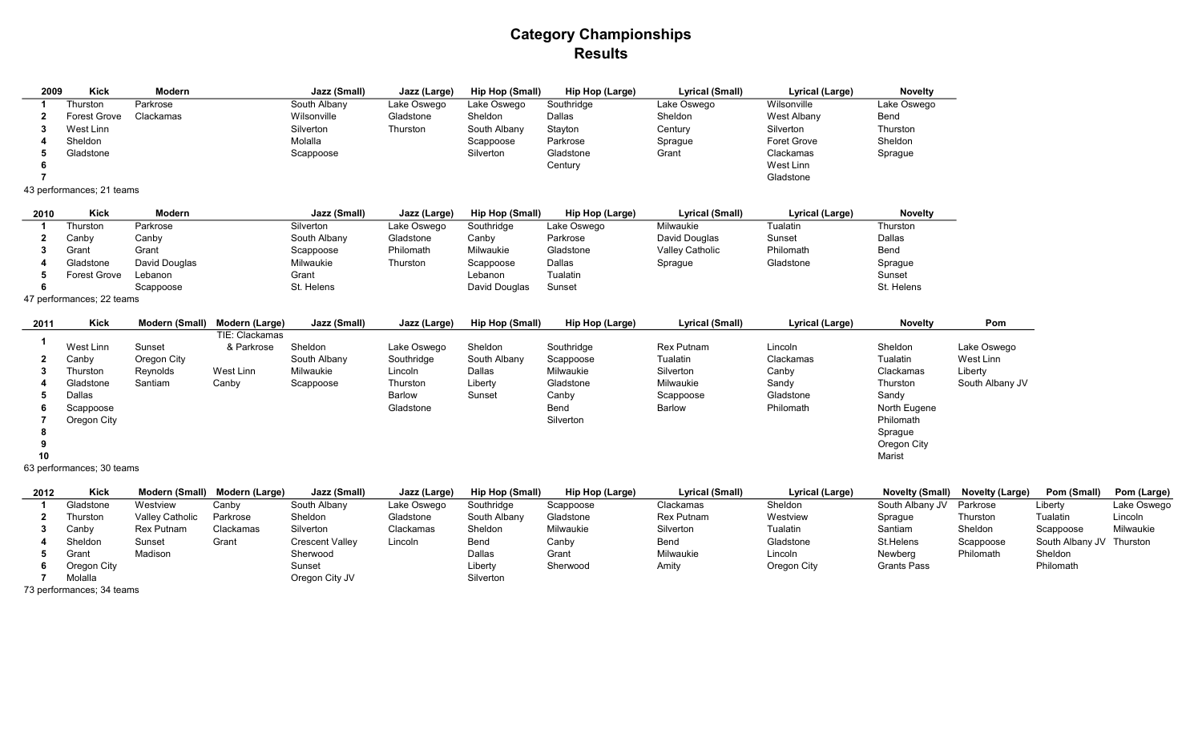## Category Championships **Results**

| 2009 | <b>Kick</b>               | Modern    | Jazz (Small) | Jazz (Large) | Hip Hop (Small) | Hip Hop (Large) | Lyrical (Small) | Lyrical (Large) | <b>Novelty</b> |
|------|---------------------------|-----------|--------------|--------------|-----------------|-----------------|-----------------|-----------------|----------------|
|      | Thurston                  | Parkrose  | South Albany | Lake Oswego  | Lake Oswego     | Southridge      | Lake Oswego     | Wilsonville     | Lake Oswego    |
|      | <b>Forest Grove</b>       | Clackamas | Wilsonville  | Gladstone    | Sheldon         | Dallas          | Sheldon         | West Albany     | Bend           |
|      | West Linn                 |           | Silverton    | Thurston     | South Albany    | Stayton         | Century         | Silverton       | Thurston       |
|      | Sheldon                   |           | Molalla      |              | Scappoose       | Parkrose        | Sprague         | Foret Grove     | Sheldon        |
|      | Gladstone                 |           | Scappoose    |              | Silverton       | Gladstone       | Grant           | Clackamas       | Sprague        |
|      |                           |           |              |              |                 | Century         |                 | West Linn       |                |
|      |                           |           |              |              |                 |                 |                 | Gladstone       |                |
|      | 43 performances; 21 teams |           |              |              |                 |                 |                 |                 |                |

| 2010 | Kick         | Modern        | Jazz (Small) | Jazz (Large) | Hip Hop (Small) | Hip Hop (Large) | Lyrical (Small)        | Lyrical (Large) | <b>Novelty</b> |
|------|--------------|---------------|--------------|--------------|-----------------|-----------------|------------------------|-----------------|----------------|
|      | Thurston     | Parkrose      | Silverton    | Lake Oswego  | Southridge      | Lake Oswego     | Milwaukie              | Tualatin        | Thurston       |
|      | Canby        | Canby         | South Albany | Gladstone    | Canby           | Parkrose        | David Douglas          | Sunset          | Dallas         |
|      | Grant        | Grant         | Scappoose    | Philomath    | Milwaukie       | Gladstone       | <b>Valley Catholic</b> | Philomath       | Bend           |
|      | Gladstone    | David Douglas | Milwaukie    | Thurston     | Scappoose       | Dallas          | Sprague                | Gladstone       | Sprague        |
|      | Forest Grove | Lebanon       | Grant        |              | Lebanon         | Tualatin        |                        |                 | Sunset         |
|      |              | Scappoose     | St. Helens   |              | David Douglas   | Sunset          |                        |                 | St. Helens     |

47 performances; 22 teams

| 2011 | <b>Kick</b> | Modern (Small) | Modern (Large) | Jazz (Small) | Jazz (Large) | Hip Hop (Small) | Hip Hop (Large) | Lyrical (Small)   | Lyrical (Large) | <b>Novelty</b> | Pom             |
|------|-------------|----------------|----------------|--------------|--------------|-----------------|-----------------|-------------------|-----------------|----------------|-----------------|
|      |             |                | TIE: Clackamas |              |              |                 |                 |                   |                 |                |                 |
|      | West Linn   | Sunset         | & Parkrose     | Sheldon      | Lake Oswego  | Sheldon         | Southridge      | <b>Rex Putnam</b> | Lincoln         | Sheldon        | Lake Oswego     |
|      | Canby       | Oregon City    |                | South Albany | Southridge   | South Albany    | Scappoose       | Tualatin          | Clackamas       | Tualatin       | West Linn       |
|      | Thurston    | Revnolds       | West Linn      | Milwaukie    | Lincoln      | Dallas          | Milwaukie       | Silverton         | Canby           | Clackamas      | Liberty         |
|      | Gladstone   | Santiam        | Canby          | Scappoose    | Thurston     | Liberty         | Gladstone       | Milwaukie         | Sandy           | Thurston       | South Albany JV |
|      | Dallas      |                |                |              | Barlow       | Sunset          | Canby           | Scappoose         | Gladstone       | Sandy          |                 |
| 'n   | Scappoose   |                |                |              | Gladstone    |                 | Bend            | <b>Barlow</b>     | Philomath       | North Eugene   |                 |
|      | Oregon City |                |                |              |              |                 | Silverton       |                   |                 | Philomath      |                 |
| 8    |             |                |                |              |              |                 |                 |                   |                 | Sprague        |                 |
|      |             |                |                |              |              |                 |                 |                   |                 | Oregon City    |                 |
| 10   |             |                |                |              |              |                 |                 |                   |                 | Marist         |                 |

63 performances; 30 teams

| 2012 | Kick                      | Modern (Small)    | Modern (Large) | Jazz (Small)           | Jazz (Large) | Hip Hop (Small) | Hip Hop (Large) | Lyrical (Small) | Lyrical (Large) | <b>Novelty (Small)</b> | <b>Novelty (Large)</b> | Pom (Small)              | Pom (Large) |
|------|---------------------------|-------------------|----------------|------------------------|--------------|-----------------|-----------------|-----------------|-----------------|------------------------|------------------------|--------------------------|-------------|
|      | Gladstone                 | Westview          | Canbv          | South Albany           | Lake Oswego  | Southridge      | Scappoose       | Clackamas       | Sheldon         | South Albany JV        | Parkrose               | Liberty                  | Lake Oswego |
|      | Thurston                  | Valley Catholic   | Parkrose       | Sheldon                | Gladstone    | South Albany    | Gladstone       | Rex Putnam      | Westview        | Sprague                | Thurston               | Tualatin                 | Lincoln     |
|      | Canby                     | <b>Rex Putnam</b> | Clackamas      | Silverton              | Clackamas    | Sheldon         | Milwaukie       | Silverton       | Tualatin        | Santiam                | Sheldon                | Scappoose                | Milwaukie   |
|      | Sheldon                   | Sunset            | Grant          | <b>Crescent Valley</b> | Lincoln      | Bend            | Canby           | Bend            | Gladstone       | St.Helens              | Scappoose              | South Albany JV Thurston |             |
|      | Grant                     | Madison           |                | Sherwood               |              | Dallas          | Grant           | Milwaukie       | Lincoln         | Newberg                | Philomath              | Sheldon                  |             |
|      | Oregon City               |                   |                | Sunset                 |              | Liberty         | Sherwood        | Amity           | Oregon City     | <b>Grants Pass</b>     |                        | Philomath                |             |
|      | Molalla                   |                   |                | Oregon City JV         |              | Silverton       |                 |                 |                 |                        |                        |                          |             |
|      | 73 performances; 34 teams |                   |                |                        |              |                 |                 |                 |                 |                        |                        |                          |             |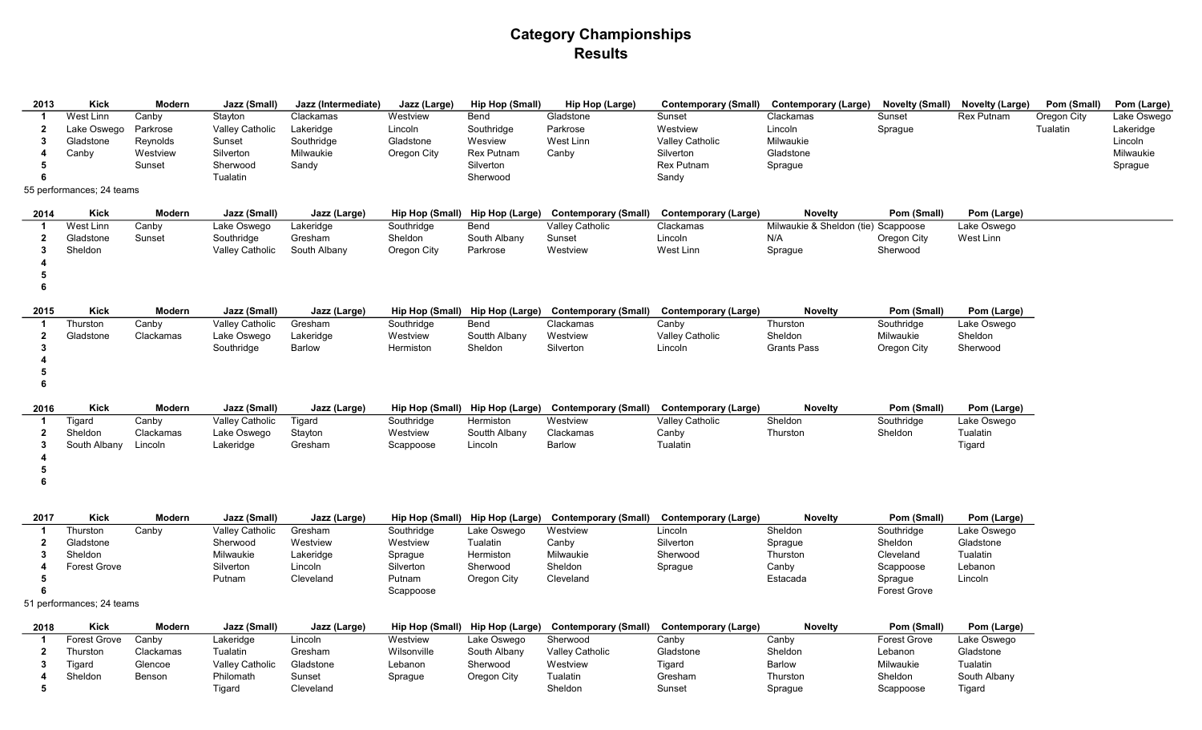## Category Championships Results

| 2013         | <b>Kick</b>               | Modern    | Jazz (Small)    | Jazz (Intermediate) | Jazz (Large)    | <b>Hip Hop (Small)</b> | <b>Hip Hop (Large)</b>                               | <b>Contemporary (Small)</b>                                               | <b>Contemporary (Large)</b>         | <b>Novelty (Small)</b> | <b>Novelty (Large)</b> | Pom (Small) | Pom (Large) |
|--------------|---------------------------|-----------|-----------------|---------------------|-----------------|------------------------|------------------------------------------------------|---------------------------------------------------------------------------|-------------------------------------|------------------------|------------------------|-------------|-------------|
| -1           | West Linn                 | Canby     | Stayton         | Clackamas           | Westview        | Bend                   | Gladstone                                            | Sunset                                                                    | Clackamas                           | Sunset                 | <b>Rex Putnam</b>      | Oregon City | Lake Oswego |
| $\mathbf{2}$ | Lake Oswego               | Parkrose  | Valley Catholic | Lakeridge           | Lincoln         | Southridge             | Parkrose                                             | Westview                                                                  | Lincoln                             | Sprague                |                        | Tualatin    | Lakeridge   |
| 3            | Gladstone                 | Reynolds  | Sunset          | Southridge          | Gladstone       | Wesview                | West Linn                                            | <b>Valley Catholic</b>                                                    | Milwaukie                           |                        |                        |             | Lincoln     |
| 4            | Canby                     | Westview  | Silverton       | Milwaukie           | Oregon City     | <b>Rex Putnam</b>      | Canby                                                | Silverton                                                                 | Gladstone                           |                        |                        |             | Milwaukie   |
|              |                           | Sunset    | Sherwood        | Sandy               |                 | Silverton              |                                                      | Rex Putnam                                                                | Sprague                             |                        |                        |             | Sprague     |
|              |                           |           | Tualatin        |                     |                 | Sherwood               |                                                      | Sandy                                                                     |                                     |                        |                        |             |             |
|              | 55 performances; 24 teams |           |                 |                     |                 |                        |                                                      |                                                                           |                                     |                        |                        |             |             |
| 2014         | <b>Kick</b>               | Modern    | Jazz (Small)    | Jazz (Large)        | Hip Hop (Small) |                        | Hip Hop (Large) Contemporary (Small)                 | <b>Contemporary (Large)</b>                                               | <b>Novelty</b>                      | Pom (Small)            | Pom (Large)            |             |             |
|              | West Linn                 | Canby     | Lake Oswego     | Lakeridge           | Southridge      | Bend                   | Valley Catholic                                      | Clackamas                                                                 | Milwaukie & Sheldon (tie) Scappoose |                        | Lake Oswego            |             |             |
| $\mathbf{2}$ | Gladstone                 | Sunset    | Southridge      | Gresham             | Sheldon         | South Albany           | Sunset                                               | Lincoln                                                                   | N/A                                 | Oregon City            | West Linn              |             |             |
| 3            | Sheldon                   |           | Valley Catholic | South Albany        | Oregon City     | Parkrose               | Westview                                             | West Linn                                                                 | Sprague                             | Sherwood               |                        |             |             |
|              |                           |           |                 |                     |                 |                        |                                                      |                                                                           |                                     |                        |                        |             |             |
| 5            |                           |           |                 |                     |                 |                        |                                                      |                                                                           |                                     |                        |                        |             |             |
| 6            |                           |           |                 |                     |                 |                        |                                                      |                                                                           |                                     |                        |                        |             |             |
| 2015         | <b>Kick</b>               | Modern    | Jazz (Small)    | Jazz (Large)        |                 |                        |                                                      | Hip Hop (Small) Hip Hop (Large) Contemporary (Small) Contemporary (Large) | <b>Novelty</b>                      | Pom (Small)            | Pom (Large)            |             |             |
|              | Thurston                  | Canby     | Valley Catholic | Gresham             | Southridge      | Bend                   | Clackamas                                            | Canby                                                                     | Thurston                            | Southridge             | Lake Oswego            |             |             |
| $\mathbf{2}$ | Gladstone                 | Clackamas | Lake Oswego     | Lakeridge           | Westview        | Soutth Albany          | Westview                                             | Valley Catholic                                                           | Sheldon                             | Milwaukie              | Sheldon                |             |             |
| 3            |                           |           | Southridge      | Barlow              | Hermiston       | Sheldon                | Silverton                                            | Lincoln                                                                   | <b>Grants Pass</b>                  | Oregon City            | Sherwood               |             |             |
|              |                           |           |                 |                     |                 |                        |                                                      |                                                                           |                                     |                        |                        |             |             |
| 5            |                           |           |                 |                     |                 |                        |                                                      |                                                                           |                                     |                        |                        |             |             |
| 6            |                           |           |                 |                     |                 |                        |                                                      |                                                                           |                                     |                        |                        |             |             |
|              |                           |           |                 |                     |                 |                        |                                                      |                                                                           |                                     |                        |                        |             |             |
| 2016         | Kick                      | Modern    | Jazz (Small)    | Jazz (Large)        |                 |                        |                                                      | Hip Hop (Small) Hip Hop (Large) Contemporary (Small) Contemporary (Large) | <b>Novelty</b>                      | Pom (Small)            | Pom (Large)            |             |             |
| -1           | Tigard                    | Canby     | Valley Catholic | Tigard              | Southridge      | Hermiston              | Westview                                             | <b>Valley Catholic</b>                                                    | Sheldon                             | Southridge             | Lake Oswego            |             |             |
| $\mathbf{2}$ | Sheldon                   | Clackamas | Lake Oswego     | Stayton             | Westview        | Soutth Albany          | Clackamas                                            | Canby                                                                     | Thurston                            | Sheldon                | Tualatin               |             |             |
| 3            | South Albany              | Lincoln   | Lakeridge       | Gresham             | Scappoose       | Lincoln                | <b>Barlow</b>                                        | Tualatin                                                                  |                                     |                        | Tigard                 |             |             |
|              |                           |           |                 |                     |                 |                        |                                                      |                                                                           |                                     |                        |                        |             |             |
| 5            |                           |           |                 |                     |                 |                        |                                                      |                                                                           |                                     |                        |                        |             |             |
| 6            |                           |           |                 |                     |                 |                        |                                                      |                                                                           |                                     |                        |                        |             |             |
|              |                           |           |                 |                     |                 |                        |                                                      |                                                                           |                                     |                        |                        |             |             |
| 2017         | <b>Kick</b>               | Modern    | Jazz (Small)    | Jazz (Large)        |                 |                        | Hip Hop (Small) Hip Hop (Large) Contemporary (Small) | <b>Contemporary (Large)</b>                                               | <b>Novelty</b>                      | Pom (Small)            | Pom (Large)            |             |             |
| -1           | Thurston                  | Canby     | Valley Catholic | Gresham             | Southridge      | Lake Oswego            | Westview                                             | Lincoln                                                                   | Sheldon                             | Southridge             | Lake Oswego            |             |             |
| $\mathbf{2}$ | Gladstone                 |           | Sherwood        | Westview            | Westview        | Tualatin               | Canby                                                | Silverton                                                                 | Sprague                             | Sheldon                | Gladstone              |             |             |
| 3            | Sheldon                   |           | Milwaukie       | Lakeridge           | Sprague         | Hermiston              | Milwaukie                                            | Sherwood                                                                  | Thurston                            | Cleveland              | Tualatin               |             |             |
| 4            | <b>Forest Grove</b>       |           | Silverton       | Lincoln             | Silverton       | Sherwood               | Sheldon                                              | Sprague                                                                   | Canby                               | Scappoose              | Lebanon                |             |             |
| 5            |                           |           | Putnam          | Cleveland           | Putnam          | Oregon City            | Cleveland                                            |                                                                           | Estacada                            | Sprague                | Lincoln                |             |             |
|              |                           |           |                 |                     | Scappoose       |                        |                                                      |                                                                           |                                     | <b>Forest Grove</b>    |                        |             |             |
|              | 51 performances; 24 teams |           |                 |                     |                 |                        |                                                      |                                                                           |                                     |                        |                        |             |             |
| 2018         | <b>Kick</b>               | Modern    | Jazz (Small)    | Jazz (Large)        |                 |                        | Hip Hop (Small) Hip Hop (Large) Contemporary (Small) | Contemporary (Large)                                                      | <b>Novelty</b>                      | Pom (Small)            | Pom (Large)            |             |             |
|              | Forest Grove              | Canby     | Lakeridge       | Lincoln             | Westview        | Lake Oswego            | Sherwood                                             | Canby                                                                     | Canby                               | <b>Forest Grove</b>    | Lake Oswego            |             |             |
| $\mathbf{2}$ | Thurston                  | Clackamas | Tualatin        | Gresham             | Wilsonville     | South Albany           | <b>Valley Catholic</b>                               | Gladstone                                                                 | Sheldon                             | Lebanon                | Gladstone              |             |             |
| 3            | Tigard                    | Glencoe   | Valley Catholic | Gladstone           | Lebanon         | Sherwood               | Westview                                             | Tigard                                                                    | Barlow                              | Milwaukie              | Tualatin               |             |             |
| 4            | Sheldon                   | Benson    | Philomath       | Sunset              | Sprague         | Oregon City            | Tualatin                                             | Gresham                                                                   | Thurston                            | Sheldon                | South Albany           |             |             |
| 5            |                           |           | Tigard          | Cleveland           |                 |                        | Sheldon                                              | Sunset                                                                    | Sprague                             | Scappoose              | Tigard                 |             |             |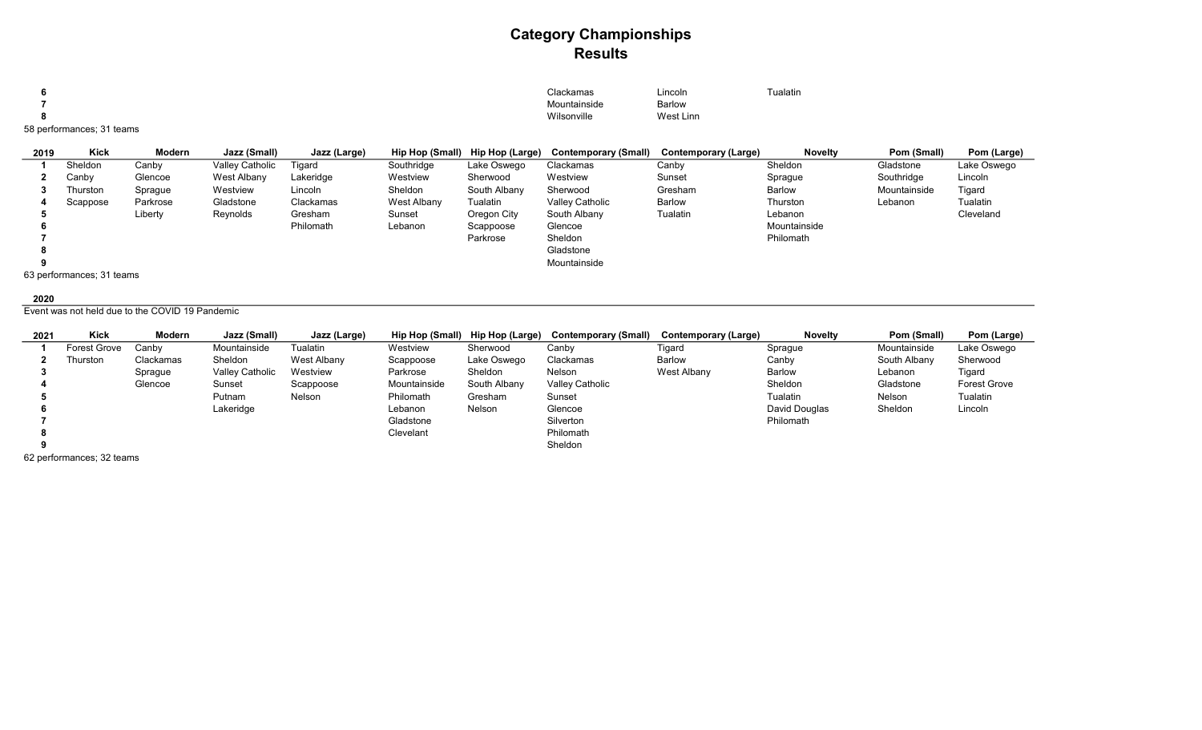## Category Championships Results

| Clackamas<br>the contract of the contract of the contract of the contract of the contract of the contract of | .<br>Lincoln  | <b>Tualatin</b> |
|--------------------------------------------------------------------------------------------------------------|---------------|-----------------|
| Mountainside                                                                                                 | <b>Barlow</b> |                 |
| Wilsonville                                                                                                  | West Linn     |                 |
|                                                                                                              |               |                 |

58 performances; 31 teams

| 2019 | <b>Kick</b>               | Modern   | Jazz (Small)    | Jazz (Large) | Hip Hop (Small) | Hip Hop (Large) | Contemporary (Small) | Contemporary (Large) | <b>Novelty</b> | Pom (Small)  | Pom (Large) |
|------|---------------------------|----------|-----------------|--------------|-----------------|-----------------|----------------------|----------------------|----------------|--------------|-------------|
|      | Sheldon                   | Canby    | Valley Catholic | Tigard       | Southridge      | Lake Oswego     | Clackamas            | Canby                | Sheldon        | Gladstone    | Lake Oswego |
|      | Canby                     | Glencoe  | West Albany     | Lakeridge    | Westview        | Sherwood        | Westview             | Sunset               | Sprague        | Southridge   | Lincoln     |
|      | Thurston                  | Sprague  | Westview        | Lincoln      | Sheldon         | South Albany    | Sherwood             | Gresham              | <b>Barlow</b>  | Mountainside | Tigard      |
|      | Scappose                  | Parkrose | Gladstone       | Clackamas    | West Albany     | Tualatin        | Valley Catholic      | Barlow               | Thurston       | Lebanon      | Tualatin    |
|      |                           | Liberty  | Reynolds        | Gresham      | Sunset          | Oregon City     | South Albany         | Tualatin             | Lebanon        |              | Cleveland   |
|      |                           |          |                 | Philomath    | Lebanon         | Scappoose       | Glencoe              |                      | Mountainside   |              |             |
|      |                           |          |                 |              |                 | Parkrose        | Sheldon              |                      | Philomath      |              |             |
|      |                           |          |                 |              |                 |                 | Gladstone            |                      |                |              |             |
|      |                           |          |                 |              |                 |                 | Mountainside         |                      |                |              |             |
|      | 63 performances; 31 teams |          |                 |              |                 |                 |                      |                      |                |              |             |

#### 

Event was not held due to the COVID 19 Pandemic

| 2021 | Kick         | Modern    | Jazz (Small)    | Jazz (Large) | Hip Hop (Small) | Hip Hop (Large) | <b>Contemporary (Small)</b> | Contemporary (Large) | <b>Novelty</b> | Pom (Small)  | Pom (Large)         |
|------|--------------|-----------|-----------------|--------------|-----------------|-----------------|-----------------------------|----------------------|----------------|--------------|---------------------|
|      | Forest Grove | Canbv     | Mountainside    | Tualatin     | Westview        | Sherwood        | Canby                       | Tigard               | Sprague        | Mountainside | Lake Oswego         |
|      | Thurston     | Clackamas | Sheldon         | West Albany  | Scappoose       | Lake Oswego     | Clackamas                   | <b>Barlow</b>        | Canby          | South Albany | Sherwood            |
|      |              | Sprague   | Valley Catholic | Westview     | Parkrose        | Sheldon         | Nelson                      | West Albany          | Barlow         | Lebanon      | Tigard              |
|      |              | Glencoe   | Sunset          | Scappoose    | Mountainside    | South Albany    | Valley Catholic             |                      | Sheldon        | Gladstone    | <b>Forest Grove</b> |
|      |              |           | Putnam          | Nelson       | Philomath       | Gresham         | Sunset                      |                      | Tualatin       | Nelson       | Tualatin            |
|      |              |           | Lakeridge       |              | Lebanon         | Nelson          | Glencoe                     |                      | David Douglas  | Sheldon      | Lincoln             |
|      |              |           |                 |              | Gladstone       |                 | Silverton                   |                      | Philomath      |              |                     |
|      |              |           |                 |              | Clevelant       |                 | Philomath                   |                      |                |              |                     |
|      |              |           |                 |              |                 |                 | Sheldon                     |                      |                |              |                     |

62 performances; 32 teams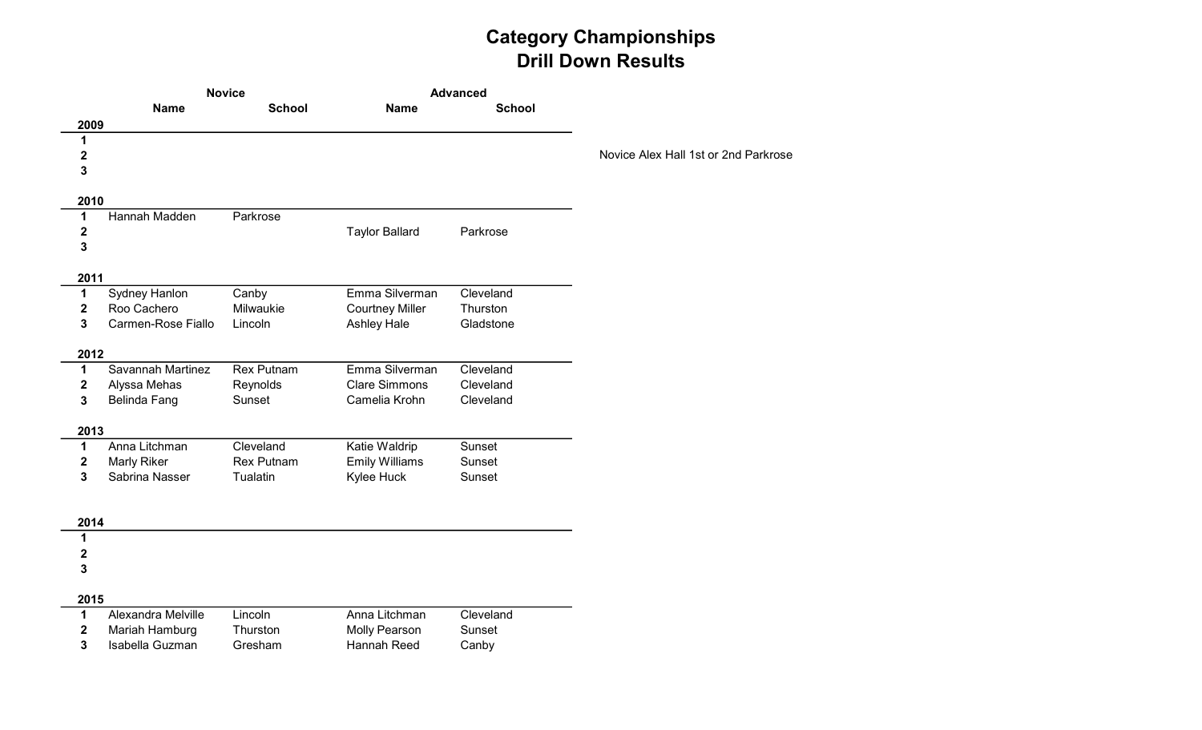# Category Championships Drill Down Results

|                  | <b>Novice</b>                       |                    |                                        | <b>Advanced</b>        |                                      |
|------------------|-------------------------------------|--------------------|----------------------------------------|------------------------|--------------------------------------|
|                  | <b>Name</b>                         | <b>School</b>      | <b>Name</b>                            | <b>School</b>          |                                      |
| 2009             |                                     |                    |                                        |                        |                                      |
| 1                |                                     |                    |                                        |                        |                                      |
| $\mathbf 2$<br>3 |                                     |                    |                                        |                        | Novice Alex Hall 1st or 2nd Parkrose |
|                  |                                     |                    |                                        |                        |                                      |
| 2010             |                                     |                    |                                        |                        |                                      |
| 1                | Hannah Madden                       | Parkrose           |                                        |                        |                                      |
| $\mathbf 2$      |                                     |                    | <b>Taylor Ballard</b>                  | Parkrose               |                                      |
| 3                |                                     |                    |                                        |                        |                                      |
| 2011             |                                     |                    |                                        |                        |                                      |
| 1                | Sydney Hanlon                       | Canby              | Emma Silverman                         | Cleveland              |                                      |
| $\mathbf 2$      | Roo Cachero                         | Milwaukie          | <b>Courtney Miller</b>                 | Thurston               |                                      |
| 3                | Carmen-Rose Fiallo                  | Lincoln            | Ashley Hale                            | Gladstone              |                                      |
|                  |                                     |                    |                                        |                        |                                      |
| 2012             |                                     |                    |                                        |                        |                                      |
| $\mathbf{1}$     | Savannah Martinez                   | <b>Rex Putnam</b>  | Emma Silverman<br><b>Clare Simmons</b> | Cleveland<br>Cleveland |                                      |
| 2<br>3           | Alyssa Mehas<br><b>Belinda Fang</b> | Reynolds<br>Sunset | Camelia Krohn                          | Cleveland              |                                      |
|                  |                                     |                    |                                        |                        |                                      |
| 2013             |                                     |                    |                                        |                        |                                      |
| 1                | Anna Litchman                       | Cleveland          | Katie Waldrip                          | Sunset                 |                                      |
| 2                | <b>Marly Riker</b>                  | <b>Rex Putnam</b>  | <b>Emily Williams</b>                  | Sunset                 |                                      |
| 3                | Sabrina Nasser                      | Tualatin           | Kylee Huck                             | Sunset                 |                                      |
|                  |                                     |                    |                                        |                        |                                      |
| 2014             |                                     |                    |                                        |                        |                                      |
| 1                |                                     |                    |                                        |                        |                                      |
| 2                |                                     |                    |                                        |                        |                                      |
| 3                |                                     |                    |                                        |                        |                                      |
| 2015             |                                     |                    |                                        |                        |                                      |
| 1                | Alexandra Melville                  | Lincoln            | Anna Litchman                          | Cleveland              |                                      |
| $\mathbf 2$      | Mariah Hamburg                      | Thurston           | Molly Pearson                          | Sunset                 |                                      |
| 3                | Isabella Guzman                     | Gresham            | Hannah Reed                            | Canby                  |                                      |